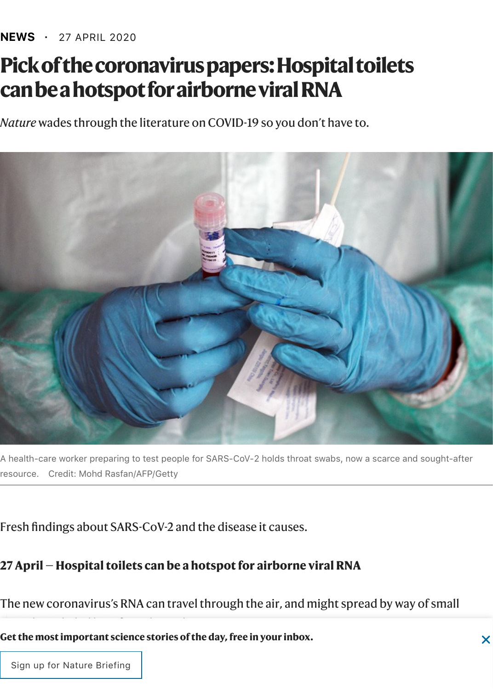#### **NEWS ·** 27 APRIL 2020

# **Pick of the coronavirus papers: Hospital toilets can be a hotspot for airborne viral RNA**

*Nature* wades through the literature on COVID-19 so you don't have to.



A health-care worker preparing to test people for SARS-CoV-2 holds throat swabs, now a scarce and sought-after resource. Credit: Mohd Rasfan/AFP/Getty

Fresh findings about SARS-CoV-2 and the disease it causes.

#### **27 April — Hospital toilets can be a hotspot for airborne viral RNA**

The new coronavirus's RNA can travel through the air, and might spread by way of small

**Get the most important science stories of the day, free in your inbox.**

 $\overline{\phantom{a}}$  Sign up for Nature Briefing  $\overline{\phantom{a}}$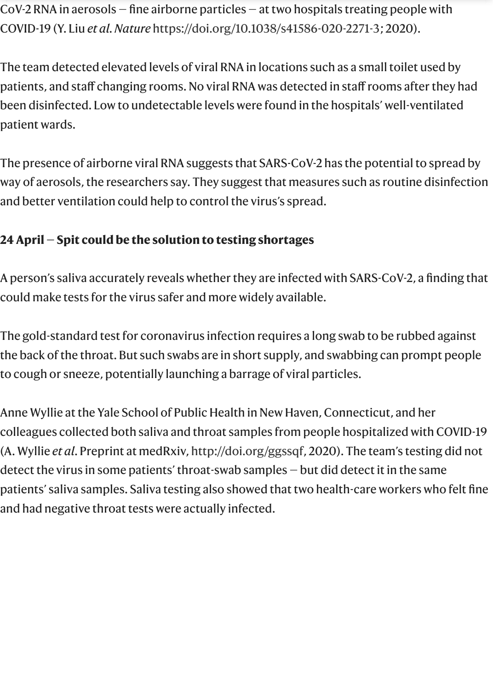CoV-2 RNA in aerosols — fine airborne particles — at two hospitals treating people with COVID-19 (Y. Liu *et al. Nature* [https://doi.org/10.1038/s41586-020-2271-3;](https://www.nature.com/articles/s41586-020-2271-3#citeas) 2020).

The team detected elevated levels of viral RNA in locations such as a small toilet used by patients, and staff changing rooms. No viral RNA was detected in staff rooms after they had been disinfected. Low to undetectable levels were found in the hospitals' well-ventilated patient wards.

The presence of airborne viral RNA suggests that SARS-CoV-2 has the potential to spread by way of aerosols, the researchers say. They suggest that measures such as routine disinfection and better ventilation could help to control the virus's spread.

# **24 April — Spit could be the solution to testing shortages**

A person's saliva accurately reveals whether they are infected with SARS-CoV-2, a finding that could make tests for the virus safer and more widely available.

The gold-standard test for coronavirus infection requires a long swab to be rubbed against the back of the throat. But such swabs are in short supply, and swabbing can prompt people to cough or sneeze, potentially launching a barrage of viral particles.

Anne Wyllie at the Yale School of Public Health in New Haven, Connecticut, and her colleagues collected both saliva and throat samples from people hospitalized with COVID-19 (A. Wyllie *et al*. Preprint at medRxiv,<http://doi.org/ggssqf>, 2020). The team's testing did not detect the virus in some patients' throat-swab samples — but did detect it in the same patients' saliva samples. Saliva testing also showed that two health-care workers who felt fine and had negative throat tests were actually infected.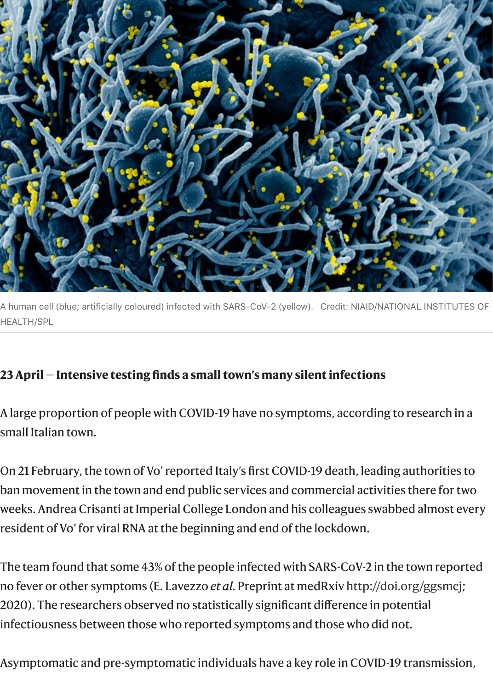

A human cell (blue; artificially coloured) infected with SARS-CoV-2 (yellow). Credit: NIAID/NATIONAL INSTITUTES OF HEALTH/SPL

## **23 April — Intensive testing finds a small town's many silent infections**

A large proportion of people with COVID-19 have no symptoms, according to research in a small Italian town.

On 21 February, the town of Vo' reported Italy's first COVID-19 death, leading authorities to ban movement in the town and end public services and commercial activities there for two weeks. Andrea Crisanti at Imperial College London and his colleagues swabbed almost every resident of Vo' for viral RNA at the beginning and end of the lockdown.

The team found that some 43% of the people infected with SARS-CoV-2 in the town reported no fever or other symptoms (E. Lavezzo *et al.* Preprint at medRxiv <http://doi.org/ggsmcj>; 2020). The researchers observed no statistically significant difference in potential infectiousness between those who reported symptoms and those who did not.

Asymptomatic and pre-symptomatic individuals have a key role in COVID-19 transmission,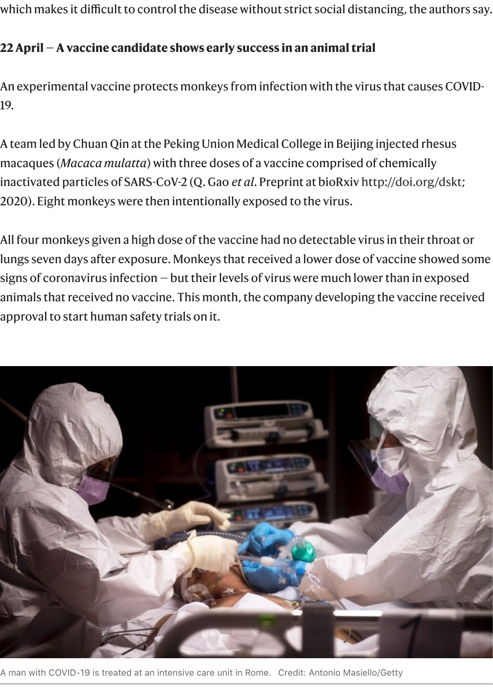which makes it difficult to control the disease without strict social distancing, the authors say.

#### **22 April — A vaccine candidate shows early success in an animal trial**

An experimental vaccine protects monkeys from infection with the virus that causes COVID-19.

A team led by Chuan Qin at the Peking Union Medical College in Beijing injected rhesus macaques (*Macaca mulatta*) with three doses of a vaccine comprised of chemically inactivated particles of SARS-CoV-2 (Q. Gao *et al*. Preprint at bioRxiv [http://doi.org/dskt;](http://doi.org/dskt) 2020). Eight monkeys were then intentionally exposed to the virus.

All four monkeys given a high dose of the vaccine had no detectable virus in their throat or lungs seven days after exposure. Monkeys that received a lower dose of vaccine showed some signs of coronavirus infection — but their levels of virus were much lower than in exposed animals that received no vaccine. This month, the company developing the vaccine received approval to start human safety trials on it.



A man with COVID-19 is treated at an intensive care unit in Rome. Credit: Antonio Masiello/Getty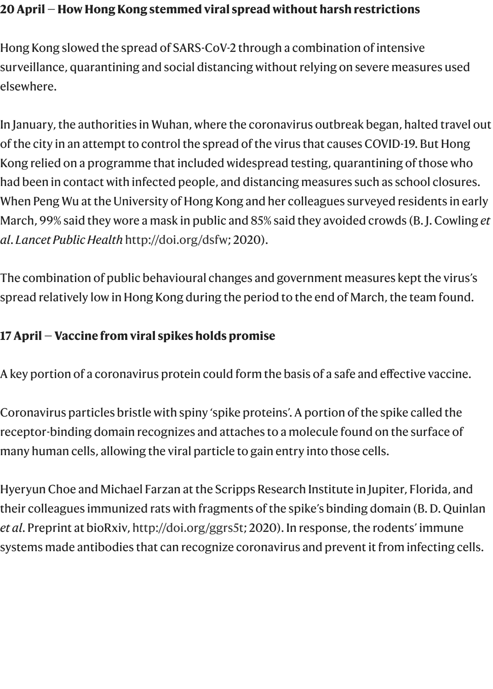#### **20 April — How Hong Kong stemmed viral spread without harsh restrictions**

Hong Kong slowed the spread of SARS-CoV-2 through a combination of intensive surveillance, quarantining and social distancing without relying on severe measures used elsewhere.

In January, the authorities in Wuhan, where the coronavirus outbreak began, halted travel out of the city in an attempt to control the spread of the virus that causes COVID-19. But Hong Kong relied on a programme that included widespread testing, quarantining of those who had been in contact with infected people, and distancing measures such as school closures. When Peng Wu at the University of Hong Kong and her colleagues surveyed residents in early March, 99% said they wore a mask in public and 85% said they avoided crowds (B. J. Cowling *et al*. *Lancet Public Health* [http://doi.org/dsfw;](http://doi.org/dsfw) 2020).

The combination of public behavioural changes and government measures kept the virus's spread relatively low in Hong Kong during the period to the end of March, the team found.

## **17 April — Vaccine from viral spikes holds promise**

A key portion of a coronavirus protein could form the basis of a safe and effective vaccine.

Coronavirus particles bristle with spiny 'spike proteins'. A portion of the spike called the receptor-binding domain recognizes and attaches to a molecule found on the surface of many human cells, allowing the viral particle to gain entry into those cells.

Hyeryun Choe and Michael Farzan at the Scripps Research Institute in Jupiter, Florida, and their colleagues immunized rats with fragments of the spike's binding domain (B. D. Quinlan *et al*. Preprint at bioRxiv, [http://doi.org/ggrs5t;](http://doi.org/ggrs5t) 2020). In response, the rodents' immune systems made antibodies that can recognize coronavirus and prevent it from infecting cells.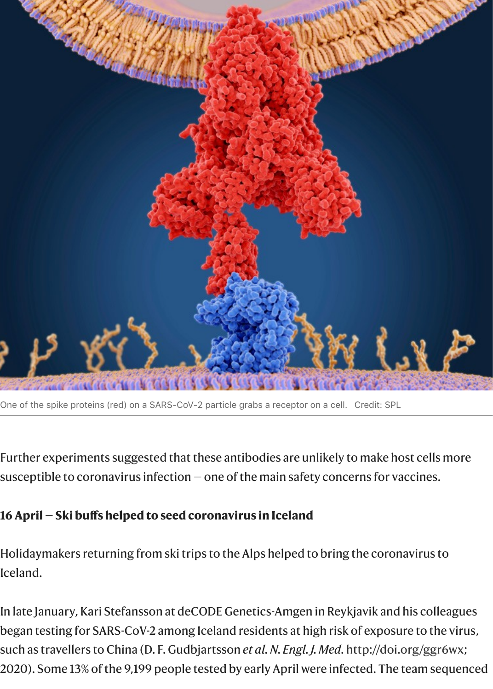

One of the spike proteins (red) on a SARS-CoV-2 particle grabs a receptor on a cell. Credit: SPL

Further experiments suggested that these antibodies are unlikely to make host cells more susceptible to coronavirus infection — one of the main safety concerns for vaccines.

#### **16 April — Ski buffs helped to seed coronavirus in Iceland**

Holidaymakers returning from ski trips to the Alps helped to bring the coronavirus to Iceland.

In late January, Kari Stefansson at deCODE Genetics-Amgen in Reykjavik and his colleagues began testing for SARS-CoV-2 among Iceland residents at high risk of exposure to the virus, such as travellers to China (D. F. Gudbjartsson *et al. N. Engl. J. Med.* [http://doi.org/ggr6wx;](http://doi.org/ggr6wx) 2020). Some 13% of the 9,199 people tested by early April were infected. The team sequenced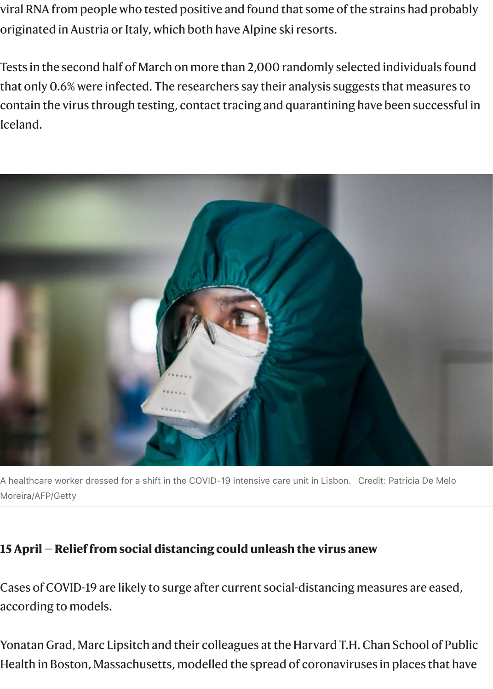viral RNA from people who tested positive and found that some of the strains had probably originated in Austria or Italy, which both have Alpine ski resorts.

Tests in the second half of March on more than 2,000 randomly selected individuals found that only 0.6% were infected. The researchers say their analysis suggests that measures to contain the virus through testing, contact tracing and quarantining have been successful in Iceland.



A healthcare worker dressed for a shift in the COVID-19 intensive care unit in Lisbon. Credit: Patricia De Melo Moreira/AFP/Getty

#### **15 April — Relief from social distancing could unleash the virus anew**

Cases of COVID-19 are likely to surge after current social-distancing measures are eased, according to models.

Yonatan Grad, Marc Lipsitch and their colleagues at the Harvard T.H. Chan School of Public Health in Boston, Massachusetts, modelled the spread of coronaviruses in places that have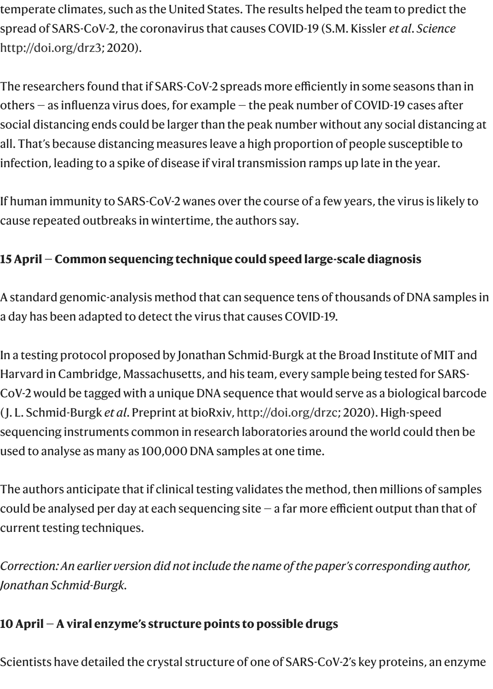temperate climates, such as the United States. The results helped the team to predict the spread of SARS-CoV-2, the coronavirus that causes COVID-19 (S.M. Kissler *et al*. *Science* [http://doi.org/drz3;](http://doi.org/drz3) 2020).

The researchers found that if SARS-CoV-2 spreads more efficiently in some seasons than in others — as influenza virus does, for example — the peak number of COVID-19 cases after social distancing ends could be larger than the peak number without any social distancing at all. That's because distancing measures leave a high proportion of people susceptible to infection, leading to a spike of disease if viral transmission ramps up late in the year.

If human immunity to SARS-CoV-2 wanes over the course of a few years, the virus is likely to cause repeated outbreaks in wintertime, the authors say.

# **15 April — Common sequencing technique could speed large-scale diagnosis**

A standard genomic-analysis method that can sequence tens of thousands of DNA samples in a day has been adapted to detect the virus that causes COVID-19.

In a testing protocol proposed by Jonathan Schmid-Burgk at the Broad Institute of MIT and Harvard in Cambridge, Massachusetts, and his team, every sample being tested for SARS-CoV-2 would be tagged with a unique DNA sequence that would serve as a biological barcode ( J. L. Schmid-Burgk *et al*. Preprint at bioRxiv, [http://doi.org/drzc;](http://doi.org/drzc) 2020). High-speed sequencing instruments common in research laboratories around the world could then be used to analyse as many as 100,000 DNA samples at one time.

The authors anticipate that if clinical testing validates the method, then millions of samples could be analysed per day at each sequencing site — a far more efficient output than that of current testing techniques.

*Correction: An earlier version did not include the name of the paper's corresponding author, Jonathan Schmid-Burgk.*

## **10 April — A viral enzyme's structure points to possible drugs**

Scientists have detailed the crystal structure of one of SARS-CoV-2's key proteins, an enzyme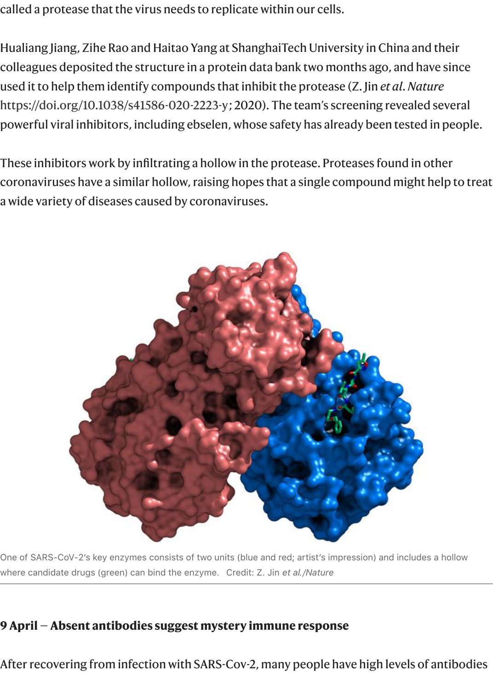called a protease that the virus needs to replicate within our cells.

Hualiang Jiang, Zihe Rao and Haitao Yang at ShanghaiTech University in China and their colleagues deposited the structure in a protein data bank two months ago, and have since used it to help them identify compounds that inhibit the protease (Z. Jin *et al*. *Nature* <https://doi.org/10.1038/s41586-020-2223-y>; 2020). The team's screening revealed several powerful viral inhibitors, including ebselen, whose safety has already been tested in people.

These inhibitors work by infiltrating a hollow in the protease. Proteases found in other coronaviruses have a similar hollow, raising hopes that a single compound might help to treat a wide variety of diseases caused by coronaviruses.



One of SARS-CoV-2's key enzymes consists of two units (blue and red; artist's impression) and includes a hollow where candidate drugs (green) can bind the enzyme. Credit: Z. Jin *et al./Nature*

#### **9 April — Absent antibodies suggest mystery immune response**

After recovering from infection with SARS-Cov-2, many people have high levels of antibodies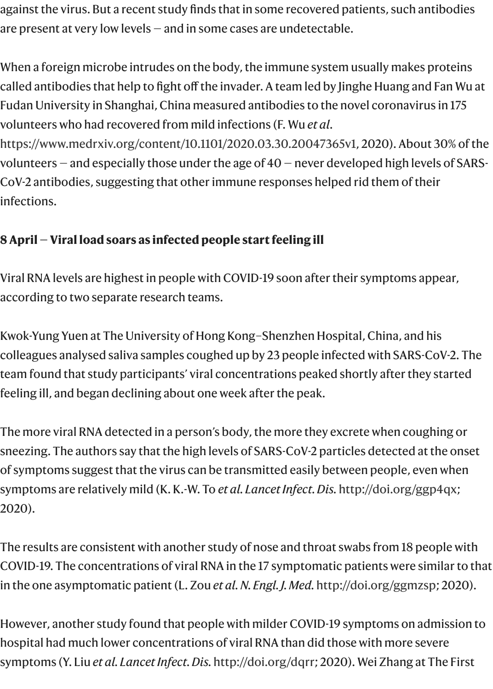against the virus. But a recent study finds that in some recovered patients, such antibodies are present at very low levels — and in some cases are undetectable.

When a foreign microbe intrudes on the body, the immune system usually makes proteins called antibodies that help to fight off the invader. A team led by Jinghe Huang and Fan Wu at Fudan University in Shanghai, China measured antibodies to the novel coronavirus in 175 volunteers who had recovered from mild infections (F. Wu *et al*.

[https://www.medrxiv.org/content/10.1101/2020.03.30.20047365v1,](https://www.medrxiv.org/content/10.1101/2020.03.30.20047365v1) 2020). About 30% of the volunteers  $-$  and especially those under the age of  $40$   $-$  never developed high levels of SARS-CoV-2 antibodies, suggesting that other immune responses helped rid them of their infections.

# **8 April — Viral load soars as infected people start feeling ill**

Viral RNA levels are highest in people with COVID-19 soon after their symptoms appear, according to two separate research teams.

Kwok-Yung Yuen at The University of Hong Kong–Shenzhen Hospital, China, and his colleagues analysed saliva samples coughed up by 23 people infected with SARS-CoV-2. The team found that study participants' viral concentrations peaked shortly after they started feeling ill, and began declining about one week after the peak.

The more viral RNA detected in a person's body, the more they excrete when coughing or sneezing. The authors say that the high levels of SARS-CoV-2 particles detected at the onset of symptoms suggest that the virus can be transmitted easily between people, even when symptoms are relatively mild (K. K.-W. To *et al. Lancet Infect. Dis.* [http://doi.org/ggp4qx;](http://doi.org/ggp4qx) 2020).

The results are consistent with another study of nose and throat swabs from 18 people with COVID-19. The concentrations of viral RNA in the 17 symptomatic patients were similar to that in the one asymptomatic patient (L. Zou *et al. N. Engl. J. Med.* <http://doi.org/ggmzsp>; 2020).

However, another study found that people with milder COVID-19 symptoms on admission to hospital had much lower concentrations of viral RNA than did those with more severe symptoms (Y. Liu *et al. Lancet Infect. Dis.* <http://doi.org/dqrr>; 2020). Wei Zhang at The First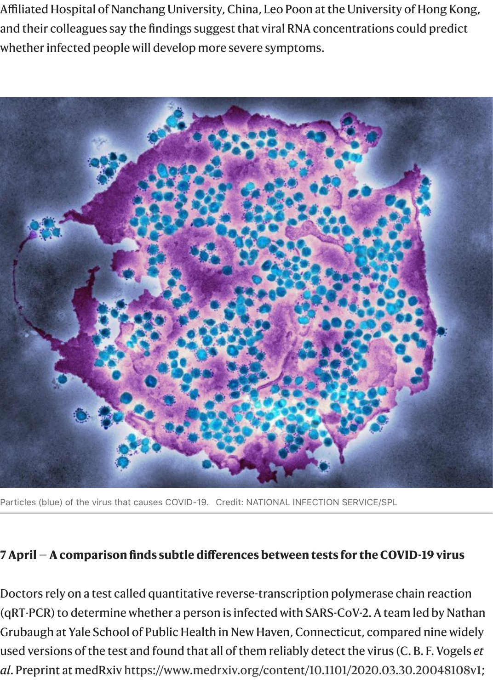Affiliated Hospital of Nanchang University, China, Leo Poon at the University of Hong Kong, and their colleagues say the findings suggest that viral RNA concentrations could predict whether infected people will develop more severe symptoms.



Particles (blue) of the virus that causes COVID-19. Credit: NATIONAL INFECTION SERVICE/SPL

#### **7 April — A comparison finds subtle differences between tests for the COVID-19 virus**

Doctors rely on a test called quantitative reverse-transcription polymerase chain reaction (qRT-PCR) to determine whether a person is infected with SARS-CoV-2. A team led by Nathan Grubaugh at Yale School of Public Health in New Haven, Connecticut, compared nine widely used versions of the test and found that all of them reliably detect the virus (C. B. F. Vogels *et al*. Preprint at medRxiv <https://www.medrxiv.org/content/10.1101/2020.03.30.20048108v1>;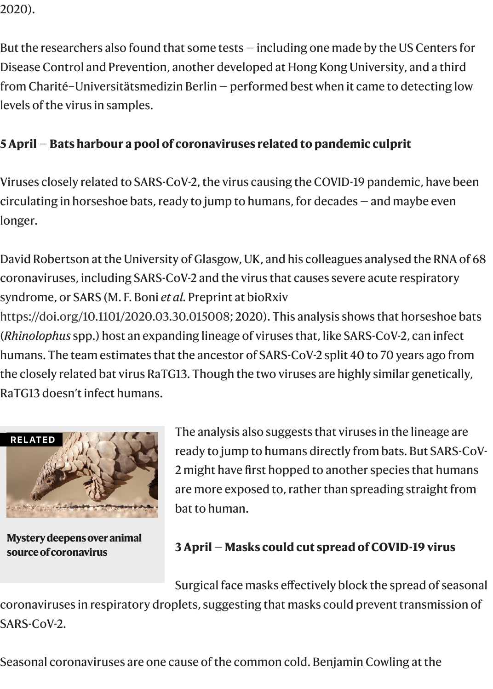2020).

But the researchers also found that some tests — including one made by the US Centers for Disease Control and Prevention, another developed at Hong Kong University, and a third from Charité–Universitätsmedizin Berlin — performed best when it came to detecting low levels of the virus in samples.

# **5 April** — **Bats harbour a pool of coronaviruses related to pandemic culprit**

Viruses closely related to SARS-CoV-2, the virus causing the COVID-19 pandemic, have been circulating in horseshoe bats, ready to jump to humans, for decades — and maybe even longer.

David Robertson at the University of Glasgow, UK, and his colleagues analysed the RNA of 68 coronaviruses, including SARS-CoV-2 and the virus that causes severe acute respiratory syndrome, or SARS (M. F. Boni *et al.* Preprint at bioRxiv [https://doi.org/10.1101/2020.03.30.015008;](https://doi.org/10.1101/2020.03.30.015008) 2020). This analysis shows that horseshoe bats (*Rhinolophus* spp.) host an expanding lineage of viruses that, like SARS-CoV-2, can infect humans. The team estimates that the ancestor of SARS-CoV-2 split 40 to 70 years ago from the closely related bat virus RaTG13. Though the two viruses are highly similar genetically, RaTG13 doesn't infect humans.



**[Mystery deepens over animal](https://www.nature.com/articles/d41586-020-00548-w) source of coronavirus**

The analysis also suggests that viruses in the lineage are ready to jump to humans directly from bats. But SARS-CoV-2 might have first hopped to another species that humans are more exposed to, rather than spreading straight from bat to human.

## **3 April** — **Masks could cut spread of COVID-19 virus**

Surgical face masks effectively block the spread of seasonal

coronaviruses in respiratory droplets, suggesting that masks could prevent transmission of SARS-CoV-2.

Seasonal coronaviruses are one cause of the common cold. Benjamin Cowling at the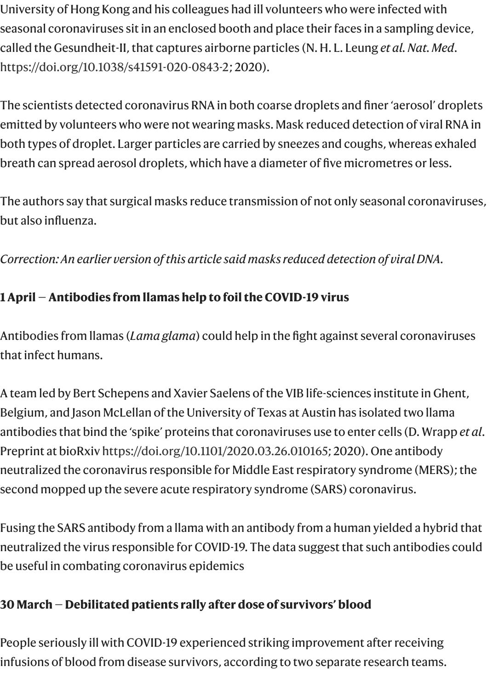University of Hong Kong and his colleagues had ill volunteers who were infected with seasonal coronaviruses sit in an enclosed booth and place their faces in a sampling device, called the Gesundheit-II, that captures airborne particles (N. H. L. Leung *et al. Nat. Med*. [https://doi.org/10.1038/s41591-020-0843-2;](https://doi.org/10.1038/s41591-020-0843-2) 2020).

The scientists detected coronavirus RNA in both coarse droplets and finer 'aerosol' droplets emitted by volunteers who were not wearing masks. Mask reduced detection of viral RNA in both types of droplet. Larger particles are carried by sneezes and coughs, whereas exhaled breath can spread aerosol droplets, which have a diameter of five micrometres or less.

The authors say that surgical masks reduce transmission of not only seasonal coronaviruses, but also influenza.

*Correction: An earlier version of this article said masks reduced detection of viral DNA.*

# **1 April — Antibodies from llamas help to foil the COVID-19 virus**

Antibodies from llamas (*Lama glama*) could help in the fight against several coronaviruses that infect humans.

A team led by Bert Schepens and Xavier Saelens of the VIB life-sciences institute in Ghent, Belgium, and Jason McLellan of the University of Texas at Austin has isolated two llama antibodies that bind the 'spike' proteins that coronaviruses use to enter cells (D. Wrapp *et al*. Preprint at bioRxiv [https://doi.org/10.1101/2020.03.26.010165;](https://doi.org/10.1101/2020.03.26.010165) 2020). One antibody neutralized the coronavirus responsible for Middle East respiratory syndrome (MERS); the second mopped up the severe acute respiratory syndrome (SARS) coronavirus.

Fusing the SARS antibody from a llama with an antibody from a human yielded a hybrid that neutralized the virus responsible for COVID-19. The data suggest that such antibodies could be useful in combating coronavirus epidemics

# **30 March — Debilitated patients rally after dose of survivors' blood**

People seriously ill with COVID-19 experienced striking improvement after receiving infusions of blood from disease survivors, according to two separate research teams.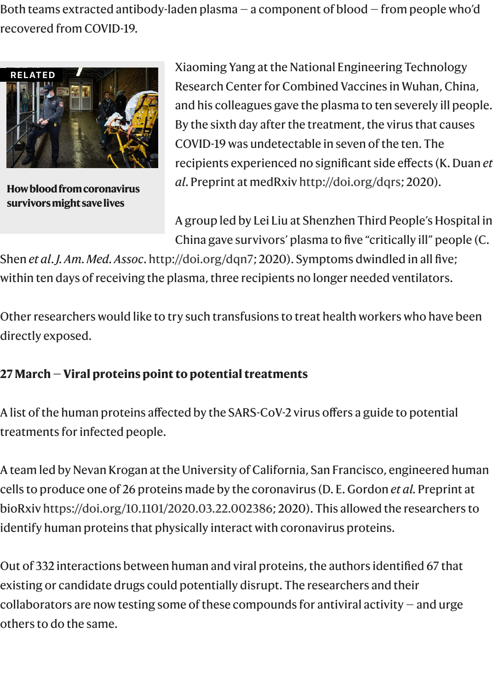Both teams extracted antibody-laden plasma — a component of blood — from people who'd recovered from COVID-19.



**[How blood from coronavirus](https://www.nature.com/articles/d41586-020-00895-8) survivors might save lives**

Xiaoming Yang at the National Engineering Technology Research Center for Combined Vaccines in Wuhan, China, and his colleagues gave the plasma to ten severely ill people. By the sixth day after the treatment, the virus that causes COVID-19 was undetectable in seven of the ten. The recipients experienced no significant side effects (K. Duan *et al*. Preprint at medRxiv [http://doi.org/dqrs;](http://doi.org/dqrs) 2020).

A group led by Lei Liu at Shenzhen Third People's Hospital in China gave survivors' plasma to five "critically ill" people (C.

Shen *et al*. *J. Am. Med. Assoc*. <http://doi.org/dqn7>; 2020). Symptoms dwindled in all five; within ten days of receiving the plasma, three recipients no longer needed ventilators.

Other researchers would like to try such transfusions to treat health workers who have been directly exposed.

# **27 March — Viral proteins point to potential treatments**

A list of the human proteins affected by the SARS-CoV-2 virus offers a guide to potential treatments for infected people.

A team led by Nevan Krogan at the University of California, San Francisco, engineered human cells to produce one of 26 proteins made by the coronavirus (D. E. Gordon *et al.* Preprint at bioRxiv <https://doi.org/10.1101/2020.03.22.002386>; 2020). This allowed the researchers to identify human proteins that physically interact with coronavirus proteins.

Out of 332 interactions between human and viral proteins, the authors identified 67 that existing or candidate drugs could potentially disrupt. The researchers and their collaborators are now testing some of these compounds for antiviral activity — and urge others to do the same.